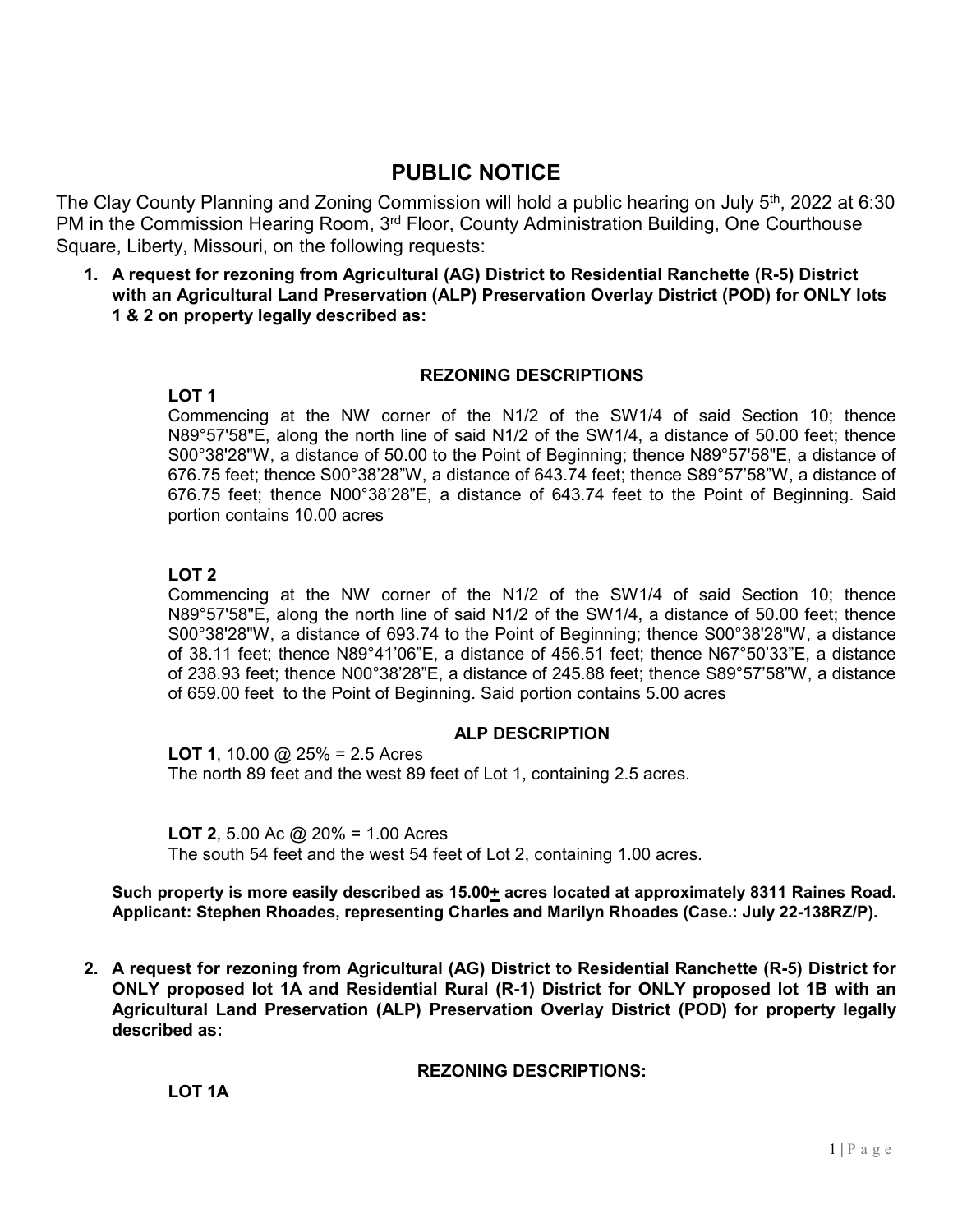# **PUBLIC NOTICE**

The Clay County Planning and Zoning Commission will hold a public hearing on July 5<sup>th</sup>, 2022 at 6:30 PM in the Commission Hearing Room, 3<sup>rd</sup> Floor, County Administration Building, One Courthouse Square, Liberty, Missouri, on the following requests:

**1. A request for rezoning from Agricultural (AG) District to Residential Ranchette (R-5) District with an Agricultural Land Preservation (ALP) Preservation Overlay District (POD) for ONLY lots 1 & 2 on property legally described as:**

#### **REZONING DESCRIPTIONS**

Commencing at the NW corner of the N1/2 of the SW1/4 of said Section 10; thence N89°57'58"E, along the north line of said N1/2 of the SW1/4, a distance of 50.00 feet; thence S00°38'28"W, a distance of 50.00 to the Point of Beginning; thence N89°57'58"E, a distance of 676.75 feet; thence S00°38'28"W, a distance of 643.74 feet; thence S89°57'58"W, a distance of 676.75 feet; thence N00°38'28"E, a distance of 643.74 feet to the Point of Beginning. Said portion contains 10.00 acres

#### **LOT 2**

**LOT 1** 

Commencing at the NW corner of the N1/2 of the SW1/4 of said Section 10; thence N89°57'58"E, along the north line of said N1/2 of the SW1/4, a distance of 50.00 feet; thence S00°38'28"W, a distance of 693.74 to the Point of Beginning; thence S00°38'28"W, a distance of 38.11 feet; thence N89°41'06"E, a distance of 456.51 feet; thence N67°50'33"E, a distance of 238.93 feet; thence N00°38'28"E, a distance of 245.88 feet; thence S89°57'58"W, a distance of 659.00 feet to the Point of Beginning. Said portion contains 5.00 acres

#### **ALP DESCRIPTION**

**LOT 1**, 10.00 @ 25% = 2.5 Acres The north 89 feet and the west 89 feet of Lot 1, containing 2.5 acres.

**LOT 2**, 5.00 Ac @ 20% = 1.00 Acres The south 54 feet and the west 54 feet of Lot 2, containing 1.00 acres.

**Such property is more easily described as 15.00+ acres located at approximately 8311 Raines Road. Applicant: Stephen Rhoades, representing Charles and Marilyn Rhoades (Case.: July 22-138RZ/P).**

**2. A request for rezoning from Agricultural (AG) District to Residential Ranchette (R-5) District for ONLY proposed lot 1A and Residential Rural (R-1) District for ONLY proposed lot 1B with an Agricultural Land Preservation (ALP) Preservation Overlay District (POD) for property legally described as:**

**REZONING DESCRIPTIONS:**

**LOT 1A**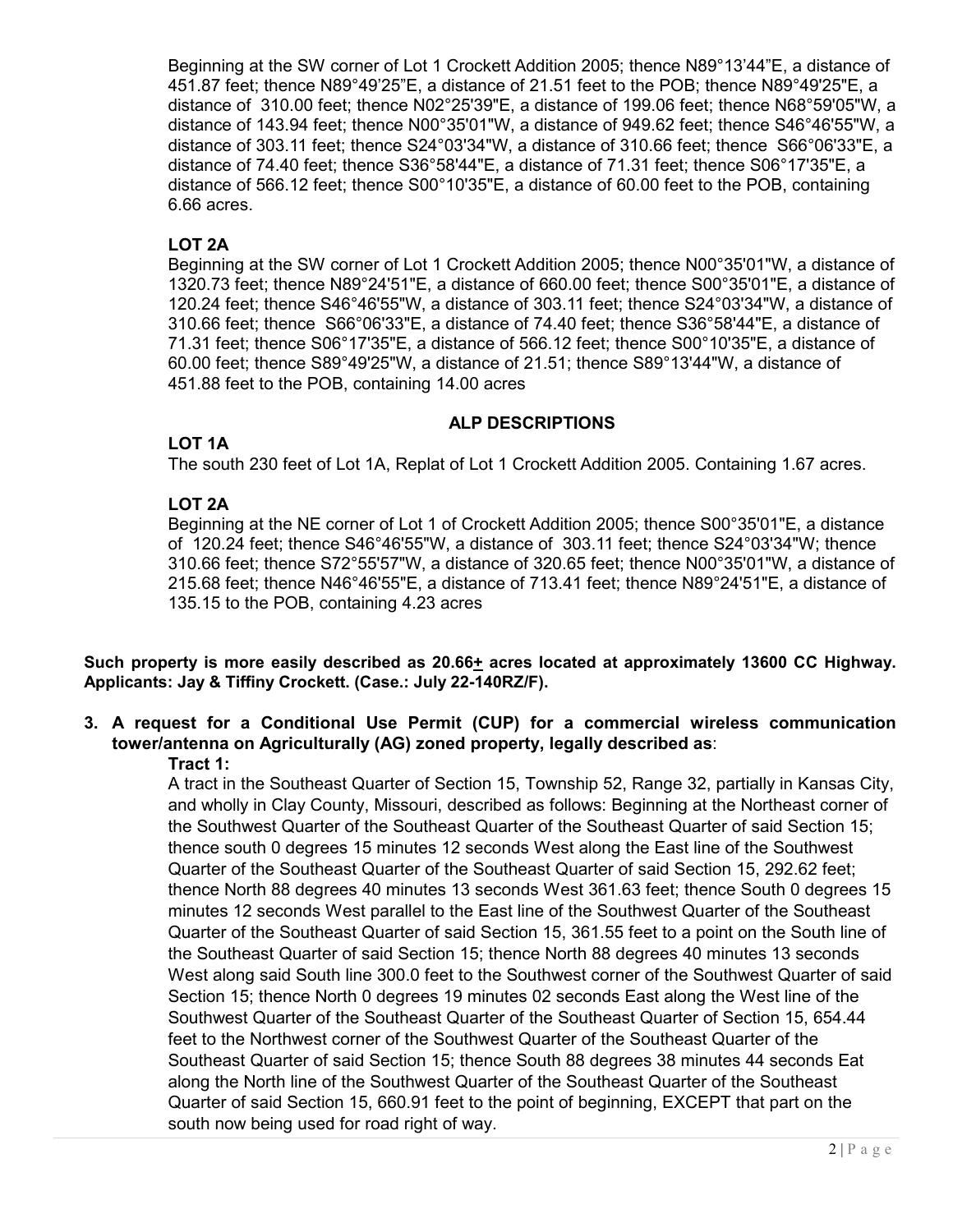Beginning at the SW corner of Lot 1 Crockett Addition 2005; thence N89°13'44"E, a distance of 451.87 feet; thence N89°49'25"E, a distance of 21.51 feet to the POB; thence N89°49'25"E, a distance of 310.00 feet; thence N02°25'39"E, a distance of 199.06 feet; thence N68°59'05"W, a distance of 143.94 feet; thence N00°35'01"W, a distance of 949.62 feet; thence S46°46'55"W, a distance of 303.11 feet; thence S24°03'34"W, a distance of 310.66 feet; thence S66°06'33"E, a distance of 74.40 feet; thence S36°58'44"E, a distance of 71.31 feet; thence S06°17'35"E, a distance of 566.12 feet; thence S00°10'35"E, a distance of 60.00 feet to the POB, containing 6.66 acres.

### **LOT 2A**

Beginning at the SW corner of Lot 1 Crockett Addition 2005; thence N00°35'01"W, a distance of 1320.73 feet; thence N89°24'51"E, a distance of 660.00 feet; thence S00°35'01"E, a distance of 120.24 feet; thence S46°46'55"W, a distance of 303.11 feet; thence S24°03'34"W, a distance of 310.66 feet; thence S66°06'33"E, a distance of 74.40 feet; thence S36°58'44"E, a distance of 71.31 feet; thence S06°17'35"E, a distance of 566.12 feet; thence S00°10'35"E, a distance of 60.00 feet; thence S89°49'25"W, a distance of 21.51; thence S89°13'44"W, a distance of 451.88 feet to the POB, containing 14.00 acres

#### **ALP DESCRIPTIONS**

## **LOT 1A**

The south 230 feet of Lot 1A, Replat of Lot 1 Crockett Addition 2005. Containing 1.67 acres.

## **LOT 2A**

Beginning at the NE corner of Lot 1 of Crockett Addition 2005; thence S00°35'01"E, a distance of 120.24 feet; thence S46°46'55"W, a distance of 303.11 feet; thence S24°03'34"W; thence 310.66 feet; thence S72°55'57"W, a distance of 320.65 feet; thence N00°35'01"W, a distance of 215.68 feet; thence N46°46'55"E, a distance of 713.41 feet; thence N89°24'51"E, a distance of 135.15 to the POB, containing 4.23 acres

**Such property is more easily described as 20.66+ acres located at approximately 13600 CC Highway. Applicants: Jay & Tiffiny Crockett. (Case.: July 22-140RZ/F).** 

## **3. A request for a Conditional Use Permit (CUP) for a commercial wireless communication tower/antenna on Agriculturally (AG) zoned property, legally described as**:

#### **Tract 1:**

A tract in the Southeast Quarter of Section 15, Township 52, Range 32, partially in Kansas City, and wholly in Clay County, Missouri, described as follows: Beginning at the Northeast corner of the Southwest Quarter of the Southeast Quarter of the Southeast Quarter of said Section 15; thence south 0 degrees 15 minutes 12 seconds West along the East line of the Southwest Quarter of the Southeast Quarter of the Southeast Quarter of said Section 15, 292.62 feet; thence North 88 degrees 40 minutes 13 seconds West 361.63 feet; thence South 0 degrees 15 minutes 12 seconds West parallel to the East line of the Southwest Quarter of the Southeast Quarter of the Southeast Quarter of said Section 15, 361.55 feet to a point on the South line of the Southeast Quarter of said Section 15; thence North 88 degrees 40 minutes 13 seconds West along said South line 300.0 feet to the Southwest corner of the Southwest Quarter of said Section 15; thence North 0 degrees 19 minutes 02 seconds East along the West line of the Southwest Quarter of the Southeast Quarter of the Southeast Quarter of Section 15, 654.44 feet to the Northwest corner of the Southwest Quarter of the Southeast Quarter of the Southeast Quarter of said Section 15; thence South 88 degrees 38 minutes 44 seconds Eat along the North line of the Southwest Quarter of the Southeast Quarter of the Southeast Quarter of said Section 15, 660.91 feet to the point of beginning, EXCEPT that part on the south now being used for road right of way.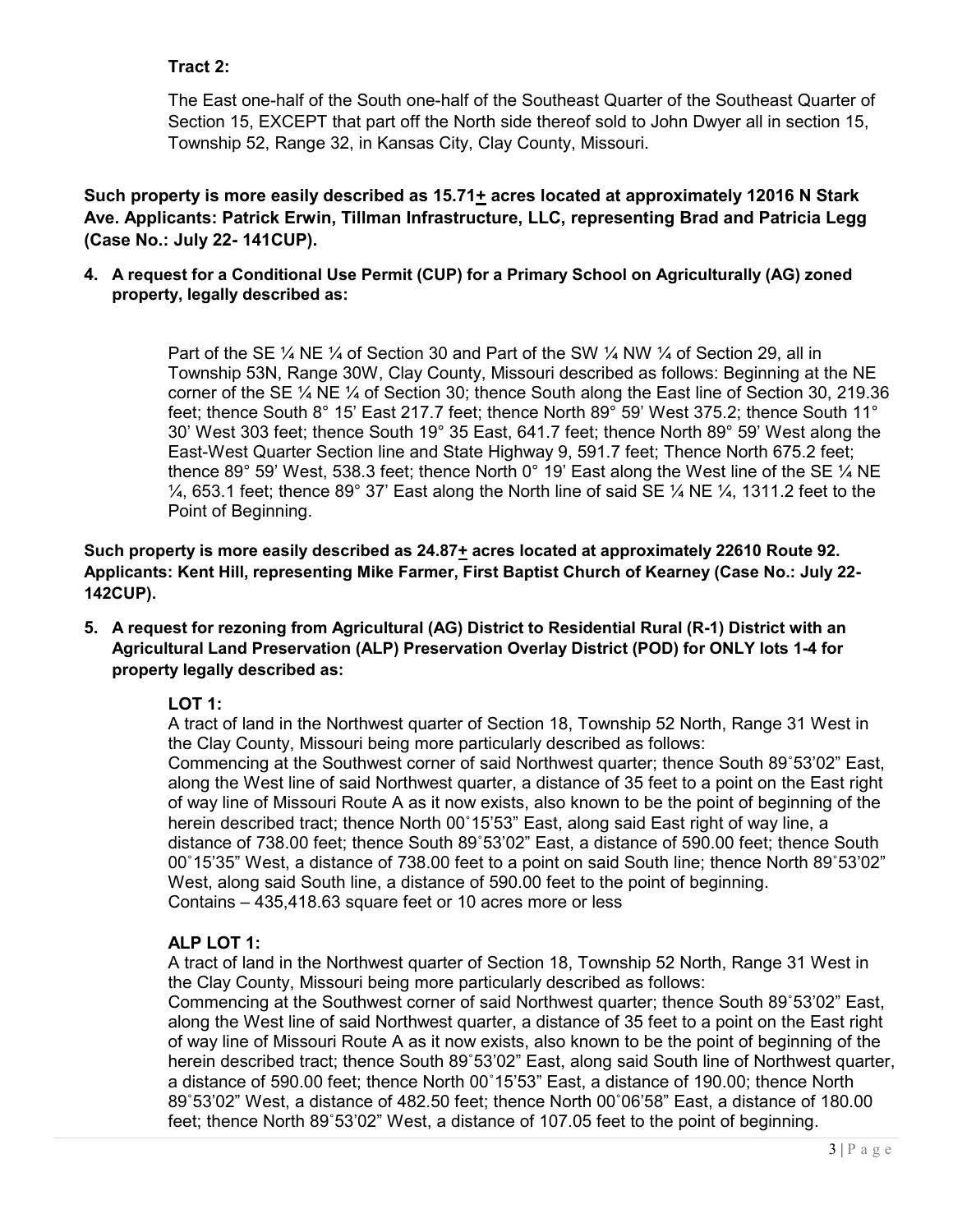## **Tract 2:**

The East one-half of the South one-half of the Southeast Quarter of the Southeast Quarter of Section 15, EXCEPT that part off the North side thereof sold to John Dwyer all in section 15, Township 52, Range 32, in Kansas City, Clay County, Missouri.

**Such property is more easily described as 15.71+ acres located at approximately 12016 N Stark Ave. Applicants: Patrick Erwin, Tillman Infrastructure, LLC, representing Brad and Patricia Legg (Case No.: July 22- 141CUP).**

**4. A request for a Conditional Use Permit (CUP) for a Primary School on Agriculturally (AG) zoned property, legally described as:**

> Part of the SE  $\frac{1}{4}$  NE  $\frac{1}{4}$  of Section 30 and Part of the SW  $\frac{1}{4}$  NW  $\frac{1}{4}$  of Section 29, all in Township 53N, Range 30W, Clay County, Missouri described as follows: Beginning at the NE corner of the SE ¼ NE ¼ of Section 30; thence South along the East line of Section 30, 219.36 feet; thence South 8° 15' East 217.7 feet; thence North 89° 59' West 375.2; thence South 11° 30' West 303 feet; thence South 19° 35 East, 641.7 feet; thence North 89° 59' West along the East-West Quarter Section line and State Highway 9, 591.7 feet; Thence North 675.2 feet; thence 89° 59' West, 538.3 feet; thence North 0° 19' East along the West line of the SE  $\%$  NE  $\frac{1}{4}$ , 653.1 feet; thence 89° 37' East along the North line of said SE  $\frac{1}{4}$  NE  $\frac{1}{4}$ , 1311.2 feet to the Point of Beginning.

**Such property is more easily described as 24.87+ acres located at approximately 22610 Route 92. Applicants: Kent Hill, representing Mike Farmer, First Baptist Church of Kearney (Case No.: July 22- 142CUP).**

**5. A request for rezoning from Agricultural (AG) District to Residential Rural (R-1) District with an Agricultural Land Preservation (ALP) Preservation Overlay District (POD) for ONLY lots 1-4 for property legally described as:**

## **LOT 1:**

A tract of land in the Northwest quarter of Section 18, Township 52 North, Range 31 West in the Clay County, Missouri being more particularly described as follows:

Commencing at the Southwest corner of said Northwest quarter; thence South 89˚53'02" East, along the West line of said Northwest quarter, a distance of 35 feet to a point on the East right of way line of Missouri Route A as it now exists, also known to be the point of beginning of the herein described tract; thence North 00˚15'53" East, along said East right of way line, a distance of 738.00 feet; thence South 89˚53'02" East, a distance of 590.00 feet; thence South 00˚15'35" West, a distance of 738.00 feet to a point on said South line; thence North 89˚53'02" West, along said South line, a distance of 590.00 feet to the point of beginning. Contains – 435,418.63 square feet or 10 acres more or less

#### **ALP LOT 1:**

A tract of land in the Northwest quarter of Section 18, Township 52 North, Range 31 West in the Clay County, Missouri being more particularly described as follows:

Commencing at the Southwest corner of said Northwest quarter; thence South 89˚53'02" East, along the West line of said Northwest quarter, a distance of 35 feet to a point on the East right of way line of Missouri Route A as it now exists, also known to be the point of beginning of the herein described tract; thence South 89˚53'02" East, along said South line of Northwest quarter, a distance of 590.00 feet; thence North 00˚15'53" East, a distance of 190.00; thence North 89˚53'02" West, a distance of 482.50 feet; thence North 00˚06'58" East, a distance of 180.00 feet; thence North 89˚53'02" West, a distance of 107.05 feet to the point of beginning.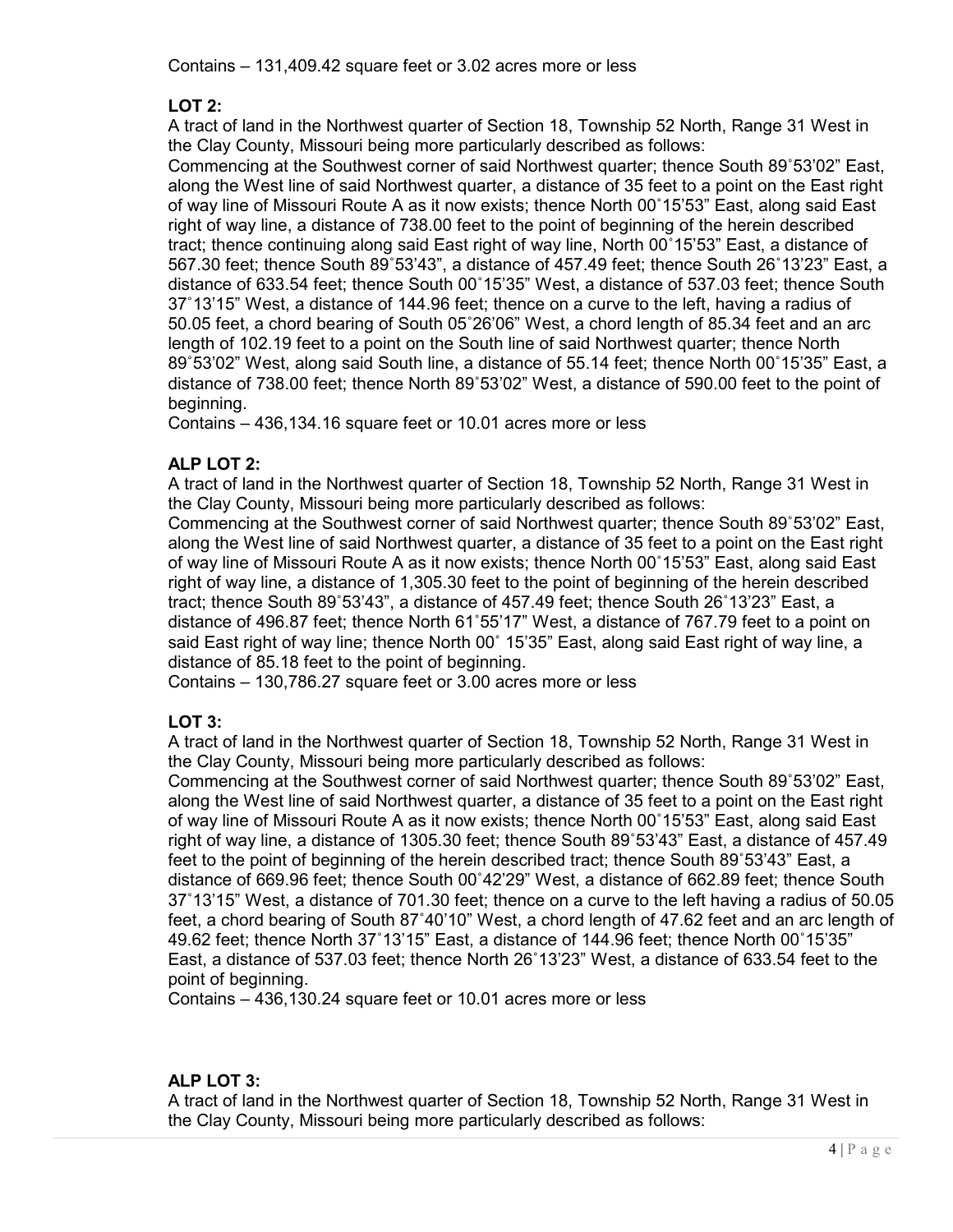## **LOT 2:**

A tract of land in the Northwest quarter of Section 18, Township 52 North, Range 31 West in the Clay County, Missouri being more particularly described as follows:

Commencing at the Southwest corner of said Northwest quarter; thence South 89˚53'02" East, along the West line of said Northwest quarter, a distance of 35 feet to a point on the East right of way line of Missouri Route A as it now exists; thence North 00˚15'53" East, along said East right of way line, a distance of 738.00 feet to the point of beginning of the herein described tract; thence continuing along said East right of way line, North 00˚15'53" East, a distance of 567.30 feet; thence South 89˚53'43", a distance of 457.49 feet; thence South 26˚13'23" East, a distance of 633.54 feet; thence South 00˚15'35" West, a distance of 537.03 feet; thence South 37˚13'15" West, a distance of 144.96 feet; thence on a curve to the left, having a radius of 50.05 feet, a chord bearing of South 05˚26'06" West, a chord length of 85.34 feet and an arc length of 102.19 feet to a point on the South line of said Northwest quarter; thence North 89˚53'02" West, along said South line, a distance of 55.14 feet; thence North 00˚15'35" East, a distance of 738.00 feet; thence North 89˚53'02" West, a distance of 590.00 feet to the point of beginning.

Contains – 436,134.16 square feet or 10.01 acres more or less

## **ALP LOT 2:**

A tract of land in the Northwest quarter of Section 18, Township 52 North, Range 31 West in the Clay County, Missouri being more particularly described as follows:

Commencing at the Southwest corner of said Northwest quarter; thence South 89˚53'02" East, along the West line of said Northwest quarter, a distance of 35 feet to a point on the East right of way line of Missouri Route A as it now exists; thence North 00˚15'53" East, along said East right of way line, a distance of 1,305.30 feet to the point of beginning of the herein described tract; thence South 89˚53'43", a distance of 457.49 feet; thence South 26˚13'23" East, a distance of 496.87 feet; thence North 61˚55'17" West, a distance of 767.79 feet to a point on said East right of way line; thence North 00˚ 15'35" East, along said East right of way line, a distance of 85.18 feet to the point of beginning.

Contains – 130,786.27 square feet or 3.00 acres more or less

## **LOT 3:**

A tract of land in the Northwest quarter of Section 18, Township 52 North, Range 31 West in the Clay County, Missouri being more particularly described as follows:

Commencing at the Southwest corner of said Northwest quarter; thence South 89˚53'02" East, along the West line of said Northwest quarter, a distance of 35 feet to a point on the East right of way line of Missouri Route A as it now exists; thence North 00˚15'53" East, along said East right of way line, a distance of 1305.30 feet; thence South 89˚53'43" East, a distance of 457.49 feet to the point of beginning of the herein described tract; thence South 89˚53'43" East, a distance of 669.96 feet; thence South 00˚42'29" West, a distance of 662.89 feet; thence South 37˚13'15" West, a distance of 701.30 feet; thence on a curve to the left having a radius of 50.05 feet, a chord bearing of South 87˚40'10" West, a chord length of 47.62 feet and an arc length of 49.62 feet; thence North 37˚13'15" East, a distance of 144.96 feet; thence North 00˚15'35" East, a distance of 537.03 feet; thence North 26˚13'23" West, a distance of 633.54 feet to the point of beginning.

Contains – 436,130.24 square feet or 10.01 acres more or less

## **ALP LOT 3:**

A tract of land in the Northwest quarter of Section 18, Township 52 North, Range 31 West in the Clay County, Missouri being more particularly described as follows: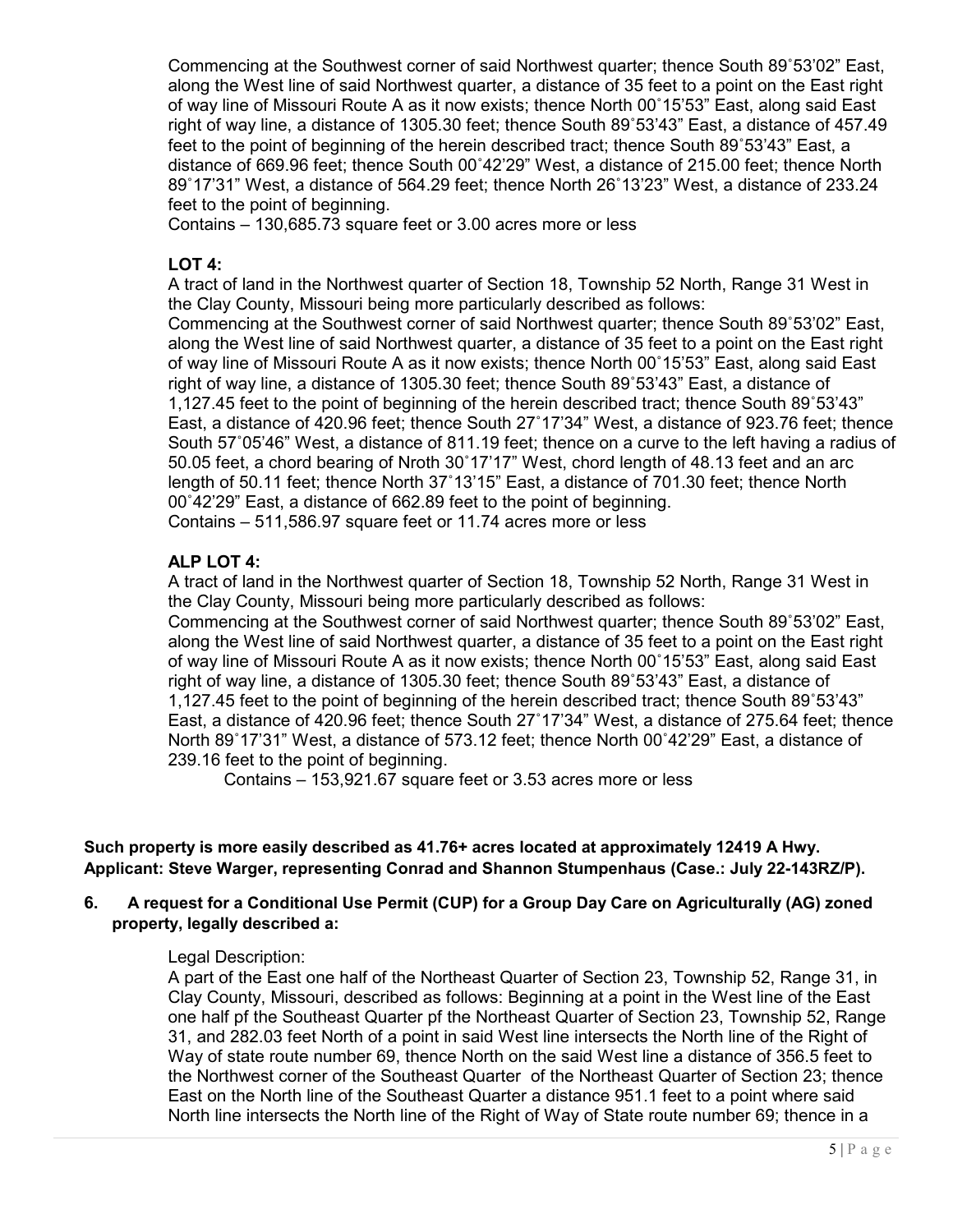Commencing at the Southwest corner of said Northwest quarter; thence South 89˚53'02" East, along the West line of said Northwest quarter, a distance of 35 feet to a point on the East right of way line of Missouri Route A as it now exists; thence North 00˚15'53" East, along said East right of way line, a distance of 1305.30 feet; thence South 89˚53'43" East, a distance of 457.49 feet to the point of beginning of the herein described tract; thence South 89˚53'43" East, a distance of 669.96 feet; thence South 00˚42'29" West, a distance of 215.00 feet; thence North 89˚17'31" West, a distance of 564.29 feet; thence North 26˚13'23" West, a distance of 233.24 feet to the point of beginning.

Contains – 130,685.73 square feet or 3.00 acres more or less

#### **LOT 4:**

A tract of land in the Northwest quarter of Section 18, Township 52 North, Range 31 West in the Clay County, Missouri being more particularly described as follows:

Commencing at the Southwest corner of said Northwest quarter; thence South 89˚53'02" East, along the West line of said Northwest quarter, a distance of 35 feet to a point on the East right of way line of Missouri Route A as it now exists; thence North 00˚15'53" East, along said East right of way line, a distance of 1305.30 feet; thence South 89˚53'43" East, a distance of 1,127.45 feet to the point of beginning of the herein described tract; thence South 89˚53'43" East, a distance of 420.96 feet; thence South 27˚17'34" West, a distance of 923.76 feet; thence South 57˚05'46" West, a distance of 811.19 feet; thence on a curve to the left having a radius of 50.05 feet, a chord bearing of Nroth 30˚17'17" West, chord length of 48.13 feet and an arc length of 50.11 feet; thence North 37˚13'15" East, a distance of 701.30 feet; thence North 00˚42'29" East, a distance of 662.89 feet to the point of beginning.

Contains – 511,586.97 square feet or 11.74 acres more or less

#### **ALP LOT 4:**

A tract of land in the Northwest quarter of Section 18, Township 52 North, Range 31 West in the Clay County, Missouri being more particularly described as follows:

Commencing at the Southwest corner of said Northwest quarter; thence South 89˚53'02" East, along the West line of said Northwest quarter, a distance of 35 feet to a point on the East right of way line of Missouri Route A as it now exists; thence North 00˚15'53" East, along said East right of way line, a distance of 1305.30 feet; thence South 89˚53'43" East, a distance of 1,127.45 feet to the point of beginning of the herein described tract; thence South 89˚53'43" East, a distance of 420.96 feet; thence South 27˚17'34" West, a distance of 275.64 feet; thence North 89˚17'31" West, a distance of 573.12 feet; thence North 00˚42'29" East, a distance of 239.16 feet to the point of beginning.

Contains – 153,921.67 square feet or 3.53 acres more or less

**Such property is more easily described as 41.76+ acres located at approximately 12419 A Hwy. Applicant: Steve Warger, representing Conrad and Shannon Stumpenhaus (Case.: July 22-143RZ/P).**

#### **6. A request for a Conditional Use Permit (CUP) for a Group Day Care on Agriculturally (AG) zoned property, legally described a:**

#### Legal Description:

A part of the East one half of the Northeast Quarter of Section 23, Township 52, Range 31, in Clay County, Missouri, described as follows: Beginning at a point in the West line of the East one half pf the Southeast Quarter pf the Northeast Quarter of Section 23, Township 52, Range 31, and 282.03 feet North of a point in said West line intersects the North line of the Right of Way of state route number 69, thence North on the said West line a distance of 356.5 feet to the Northwest corner of the Southeast Quarter of the Northeast Quarter of Section 23; thence East on the North line of the Southeast Quarter a distance 951.1 feet to a point where said North line intersects the North line of the Right of Way of State route number 69; thence in a